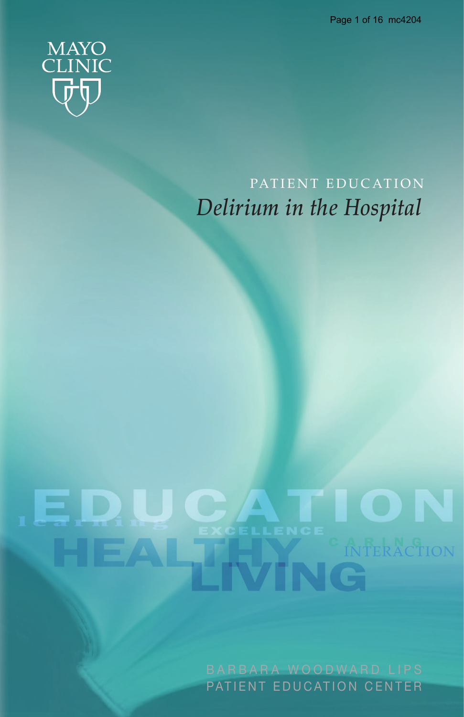Page 1 of 16 mc4204



### PATIENT EDUCATION *Delirium in the Hospital*

# ON  $\Delta$ **INTERACTION** VING

PATIENT EDUCATION CENTER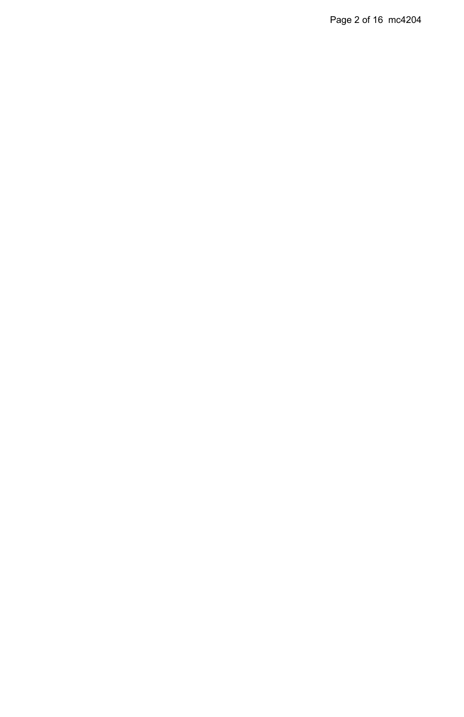Page 2 of 16 mc4204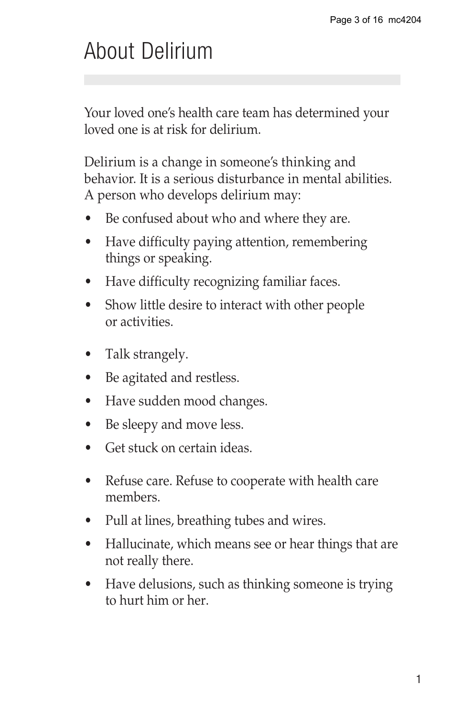# About Delirium

Your loved one's health care team has determined your loved one is at risk for delirium.

Delirium is a change in someone's thinking and behavior. It is a serious disturbance in mental abilities. A person who develops delirium may:

- Be confused about who and where they are.
- Have difficulty paying attention, remembering things or speaking.
- Have difficulty recognizing familiar faces.
- Show little desire to interact with other people or activities.
- Talk strangely.
- Be agitated and restless.
- Have sudden mood changes.
- Be sleepy and move less.
- Get stuck on certain ideas.
- Refuse care. Refuse to cooperate with health care members.
- Pull at lines, breathing tubes and wires.
- Hallucinate, which means see or hear things that are not really there.
- Have delusions, such as thinking someone is trying to hurt him or her.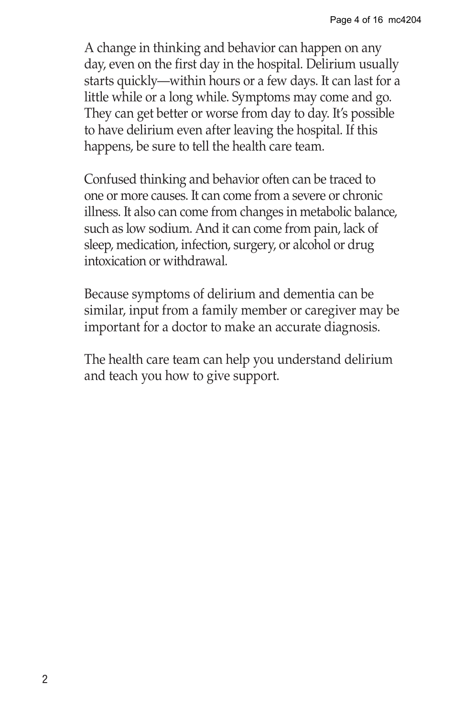A change in thinking and behavior can happen on any day, even on the first day in the hospital. Delirium usually starts quickly—within hours or a few days. It can last for a little while or a long while. Symptoms may come and go. They can get better or worse from day to day. It's possible to have delirium even after leaving the hospital. If this happens, be sure to tell the health care team.

Confused thinking and behavior often can be traced to one or more causes. It can come from a severe or chronic illness. It also can come from changes in metabolic balance, such as low sodium. And it can come from pain, lack of sleep, medication, infection, surgery, or alcohol or drug intoxication or withdrawal.

Because symptoms of delirium and dementia can be similar, input from a family member or caregiver may be important for a doctor to make an accurate diagnosis.

The health care team can help you understand delirium and teach you how to give support.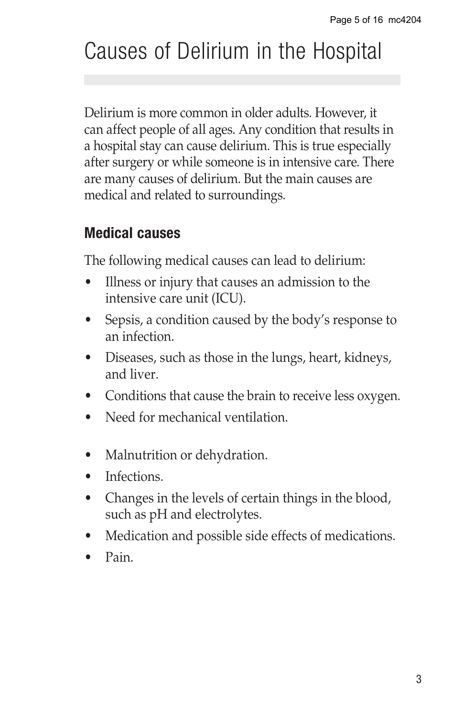### Causes of Delirium in the Hospital

Delirium is more common in older adults. However, it can affect people of all ages. Any condition that results in a hospital stay can cause delirium. This is true especially after surgery or while someone is in intensive care. There are many causes of delirium. But the main causes are medical and related to surroundings.

#### Medical causes

The following medical causes can lead to delirium:

- Illness or injury that causes an admission to the intensive care unit (ICU).
- Sepsis, a condition caused by the body's response to an infection.
- Diseases, such as those in the lungs, heart, kidneys, and liver.
- Conditions that cause the brain to receive less oxygen.
- Need for mechanical ventilation.
- Malnutrition or dehydration.
- Infections.
- Changes in the levels of certain things in the blood, such as pH and electrolytes.
- Medication and possible side effects of medications.
- Pain.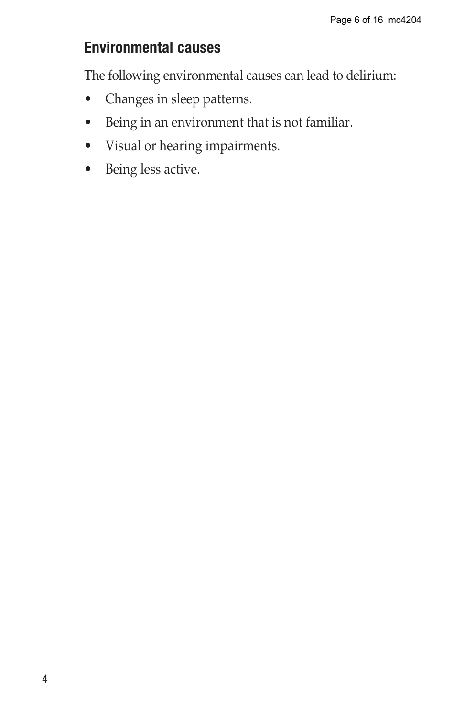### Environmental causes

The following environmental causes can lead to delirium:

- Changes in sleep patterns.
- Being in an environment that is not familiar.
- Visual or hearing impairments.
- Being less active.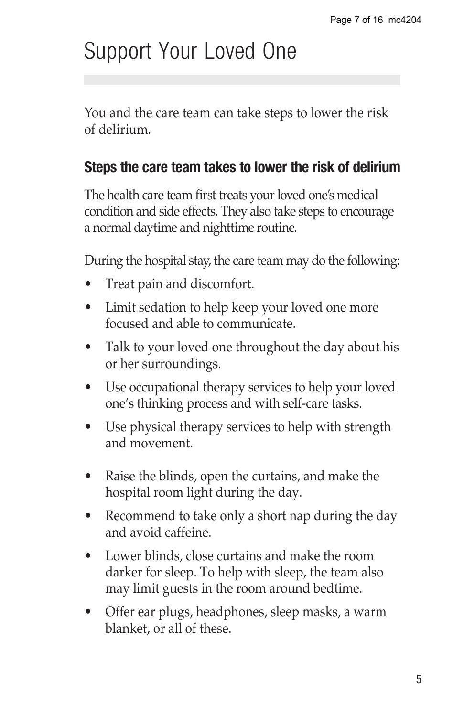### Support Your Loved One

You and the care team can take steps to lower the risk of delirium.

#### Steps the care team takes to lower the risk of delirium

The health care team first treats your loved one's medical condition and side effects. They also take steps to encourage a normal daytime and nighttime routine.

During the hospital stay, the care team may do the following:

- Treat pain and discomfort.
- Limit sedation to help keep your loved one more focused and able to communicate.
- Talk to your loved one throughout the day about his or her surroundings.
- Use occupational therapy services to help your loved one's thinking process and with self-care tasks.
- Use physical therapy services to help with strength and movement.
- Raise the blinds, open the curtains, and make the hospital room light during the day.
- Recommend to take only a short nap during the day and avoid caffeine.
- Lower blinds, close curtains and make the room darker for sleep. To help with sleep, the team also may limit guests in the room around bedtime.
- Offer ear plugs, headphones, sleep masks, a warm blanket, or all of these.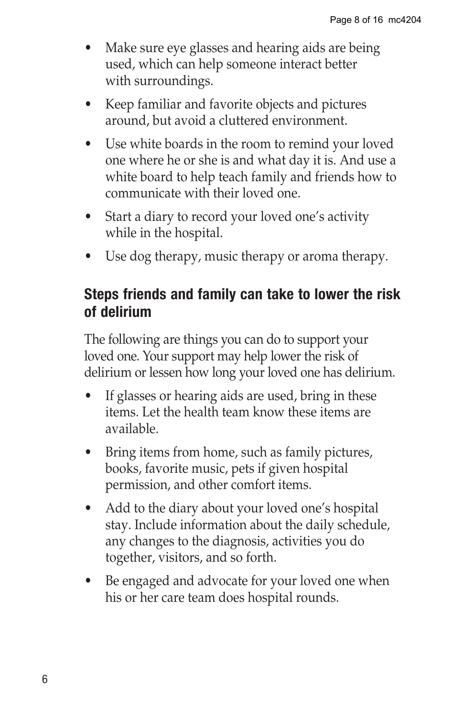- Make sure eye glasses and hearing aids are being used, which can help someone interact better with surroundings.
- Keep familiar and favorite objects and pictures around, but avoid a cluttered environment.
- Use white boards in the room to remind your loved one where he or she is and what day it is. And use a white board to help teach family and friends how to communicate with their loved one.
- Start a diary to record your loved one's activity while in the hospital.
- Use dog therapy, music therapy or aroma therapy.

#### Steps friends and family can take to lower the risk of delirium

The following are things you can do to support your loved one. Your support may help lower the risk of delirium or lessen how long your loved one has delirium.

- If glasses or hearing aids are used, bring in these items. Let the health team know these items are available.
- Bring items from home, such as family pictures, books, favorite music, pets if given hospital permission, and other comfort items.
- Add to the diary about your loved one's hospital stay. Include information about the daily schedule, any changes to the diagnosis, activities you do together, visitors, and so forth.
- Be engaged and advocate for your loved one when his or her care team does hospital rounds.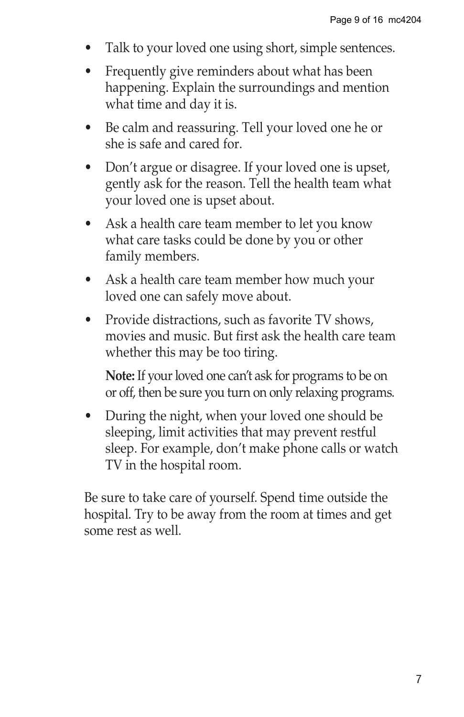- Talk to your loved one using short, simple sentences.
- Frequently give reminders about what has been happening. Explain the surroundings and mention what time and day it is.
- Be calm and reassuring. Tell your loved one he or she is safe and cared for.
- Don't argue or disagree. If your loved one is upset, gently ask for the reason. Tell the health team what your loved one is upset about.
- Ask a health care team member to let you know what care tasks could be done by you or other family members.
- Ask a health care team member how much your loved one can safely move about.
- Provide distractions, such as favorite TV shows, movies and music. But first ask the health care team whether this may be too tiring.

**Note:** If your loved one can't ask for programs to be on or off, then be sure you turn on only relaxing programs.

• During the night, when your loved one should be sleeping, limit activities that may prevent restful sleep. For example, don't make phone calls or watch TV in the hospital room.

Be sure to take care of yourself. Spend time outside the hospital. Try to be away from the room at times and get some rest as well.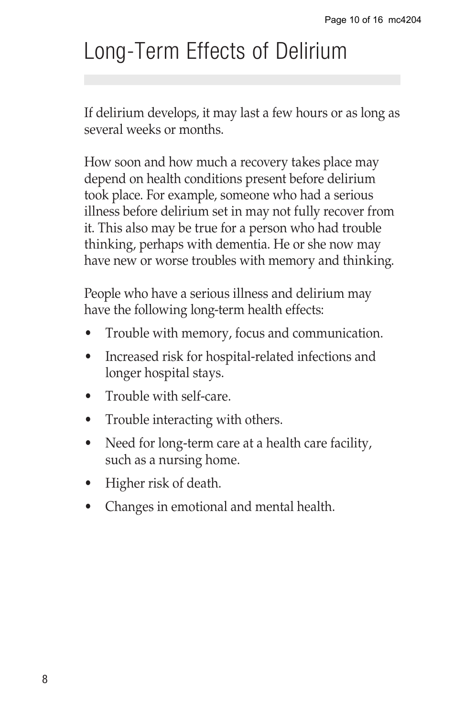## Long-Term Effects of Delirium

If delirium develops, it may last a few hours or as long as several weeks or months.

How soon and how much a recovery takes place may depend on health conditions present before delirium took place. For example, someone who had a serious illness before delirium set in may not fully recover from it. This also may be true for a person who had trouble thinking, perhaps with dementia. He or she now may have new or worse troubles with memory and thinking.

People who have a serious illness and delirium may have the following long-term health effects:

- Trouble with memory, focus and communication.
- Increased risk for hospital-related infections and longer hospital stays.
- Trouble with self-care.
- Trouble interacting with others.
- Need for long-term care at a health care facility, such as a nursing home.
- Higher risk of death.
- Changes in emotional and mental health.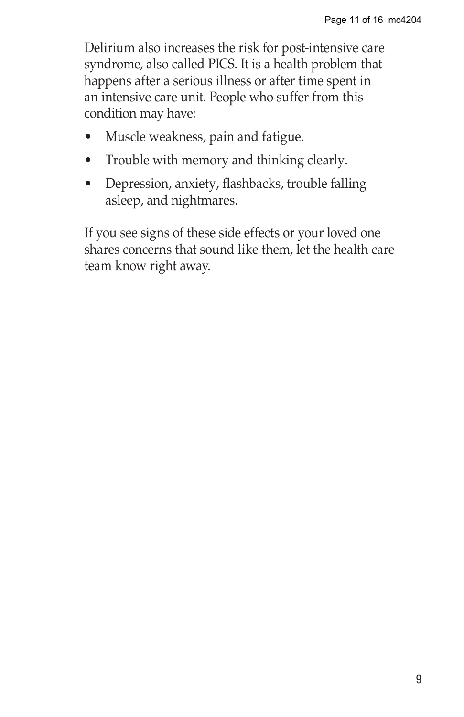Delirium also increases the risk for post-intensive care syndrome, also called PICS. It is a health problem that happens after a serious illness or after time spent in an intensive care unit. People who suffer from this condition may have:

- Muscle weakness, pain and fatigue.
- Trouble with memory and thinking clearly.
- Depression, anxiety, flashbacks, trouble falling asleep, and nightmares.

If you see signs of these side effects or your loved one shares concerns that sound like them, let the health care team know right away.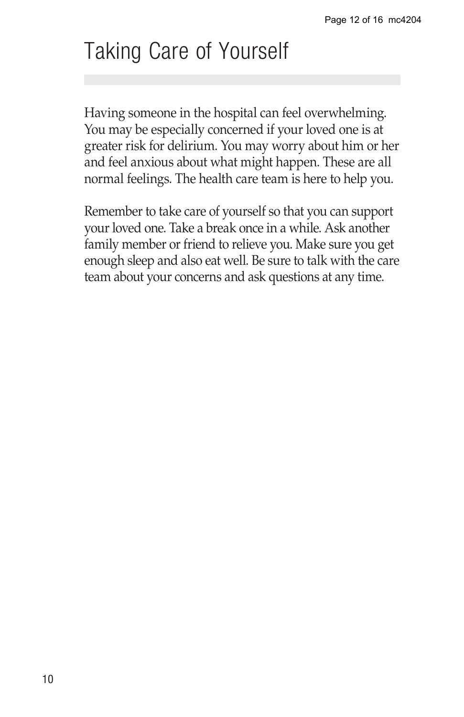# Taking Care of Yourself

Having someone in the hospital can feel overwhelming. You may be especially concerned if your loved one is at greater risk for delirium. You may worry about him or her and feel anxious about what might happen. These are all normal feelings. The health care team is here to help you.

Remember to take care of yourself so that you can support your loved one. Take a break once in a while. Ask another family member or friend to relieve you. Make sure you get enough sleep and also eat well. Be sure to talk with the care team about your concerns and ask questions at any time.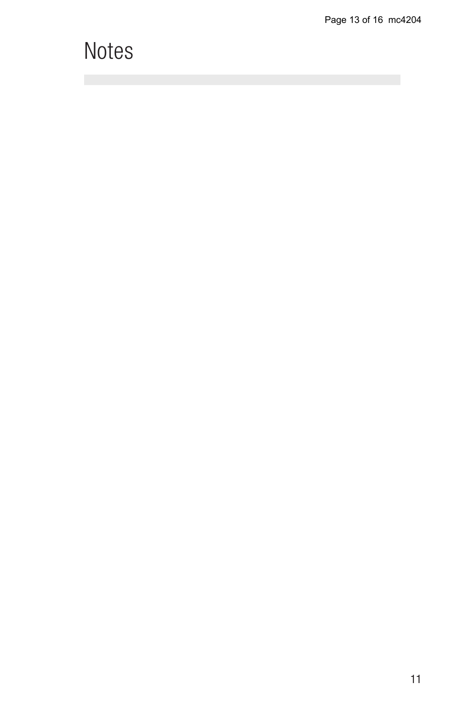### Notes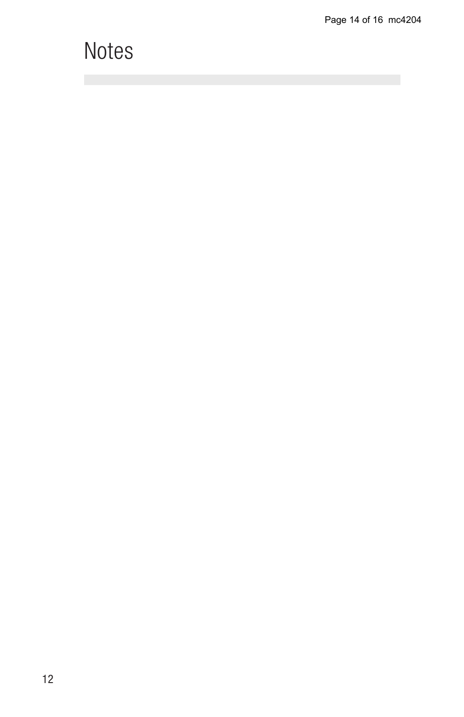### Notes